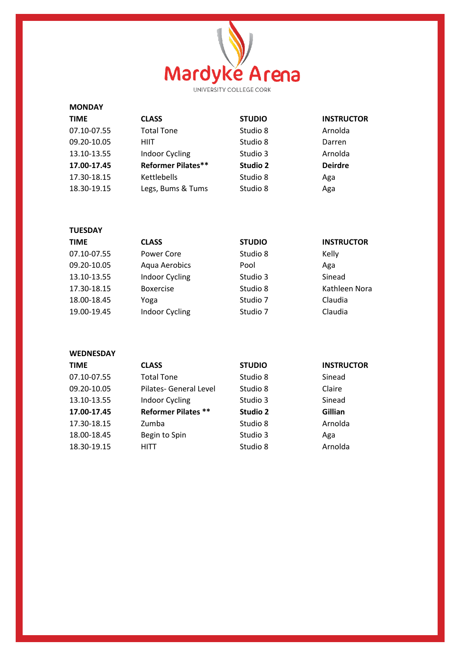

| <b>MONDAY</b> |                           |               |                   |
|---------------|---------------------------|---------------|-------------------|
| <b>TIME</b>   | <b>CLASS</b>              | <b>STUDIO</b> | <b>INSTRUCTOR</b> |
| 07.10-07.55   | <b>Total Tone</b>         | Studio 8      | Arnolda           |
| 09.20-10.05   | <b>HIIT</b>               | Studio 8      | Darren            |
| 13.10-13.55   | <b>Indoor Cycling</b>     | Studio 3      | Arnolda           |
| 17.00-17.45   | <b>Reformer Pilates**</b> | Studio 2      | <b>Deirdre</b>    |
| 17.30-18.15   | Kettlebells               | Studio 8      | Aga               |
| 18.30-19.15   | Legs, Bums & Tums         | Studio 8      | Aga               |

| <b>TUESDAY</b> |                       |               |                   |
|----------------|-----------------------|---------------|-------------------|
| <b>TIME</b>    | <b>CLASS</b>          | <b>STUDIO</b> | <b>INSTRUCTOR</b> |
| 07.10-07.55    | Power Core            | Studio 8      | Kelly             |
| 09.20-10.05    | Aqua Aerobics         | Pool          | Aga               |
| 13.10-13.55    | <b>Indoor Cycling</b> | Studio 3      | Sinead            |
| 17.30-18.15    | <b>Boxercise</b>      | Studio 8      | Kathleen Nora     |
| 18.00-18.45    | Yoga                  | Studio 7      | Claudia           |
| 19.00-19.45    | <b>Indoor Cycling</b> | Studio 7      | Claudia           |

**WEDNESDAY** 

| <b>TIME</b> | <b>CLASS</b>               | <b>STUDIO</b>   | <b>INSTRUCTOR</b> |
|-------------|----------------------------|-----------------|-------------------|
| 07.10-07.55 | <b>Total Tone</b>          | Studio 8        | Sinead            |
| 09.20-10.05 | Pilates- General Level     | Studio 8        | Claire            |
| 13.10-13.55 | Indoor Cycling             | Studio 3        | Sinead            |
| 17.00-17.45 | <b>Reformer Pilates **</b> | <b>Studio 2</b> | Gillian           |
| 17.30-18.15 | Zumba                      | Studio 8        | Arnolda           |
| 18.00-18.45 | Begin to Spin              | Studio 3        | Aga               |
| 18.30-19.15 | HITT                       | Studio 8        | Arnolda           |